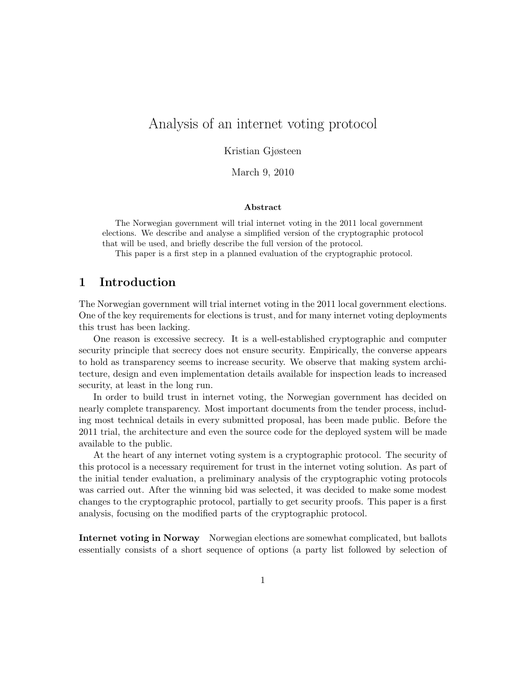# Analysis of an internet voting protocol

Kristian Gjøsteen

March 9, 2010

### Abstract

The Norwegian government will trial internet voting in the 2011 local government elections. We describe and analyse a simplified version of the cryptographic protocol that will be used, and briefly describe the full version of the protocol.

This paper is a first step in a planned evaluation of the cryptographic protocol.

# 1 Introduction

The Norwegian government will trial internet voting in the 2011 local government elections. One of the key requirements for elections is trust, and for many internet voting deployments this trust has been lacking.

One reason is excessive secrecy. It is a well-established cryptographic and computer security principle that secrecy does not ensure security. Empirically, the converse appears to hold as transparency seems to increase security. We observe that making system architecture, design and even implementation details available for inspection leads to increased security, at least in the long run.

In order to build trust in internet voting, the Norwegian government has decided on nearly complete transparency. Most important documents from the tender process, including most technical details in every submitted proposal, has been made public. Before the 2011 trial, the architecture and even the source code for the deployed system will be made available to the public.

At the heart of any internet voting system is a cryptographic protocol. The security of this protocol is a necessary requirement for trust in the internet voting solution. As part of the initial tender evaluation, a preliminary analysis of the cryptographic voting protocols was carried out. After the winning bid was selected, it was decided to make some modest changes to the cryptographic protocol, partially to get security proofs. This paper is a first analysis, focusing on the modified parts of the cryptographic protocol.

Internet voting in Norway Norwegian elections are somewhat complicated, but ballots essentially consists of a short sequence of options (a party list followed by selection of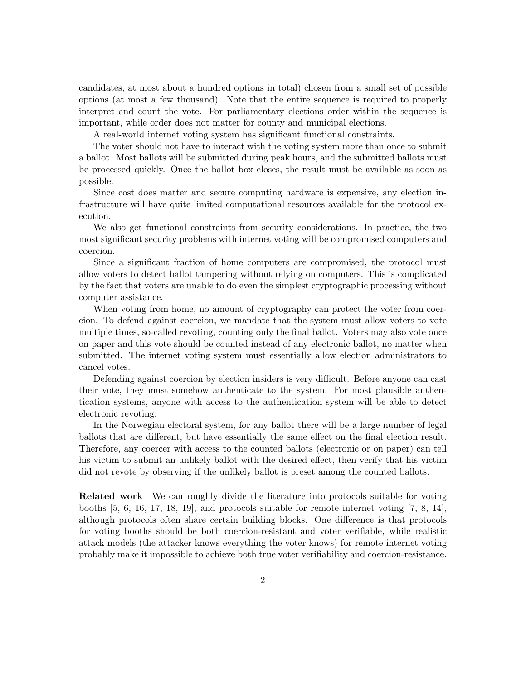candidates, at most about a hundred options in total) chosen from a small set of possible options (at most a few thousand). Note that the entire sequence is required to properly interpret and count the vote. For parliamentary elections order within the sequence is important, while order does not matter for county and municipal elections.

A real-world internet voting system has significant functional constraints.

The voter should not have to interact with the voting system more than once to submit a ballot. Most ballots will be submitted during peak hours, and the submitted ballots must be processed quickly. Once the ballot box closes, the result must be available as soon as possible.

Since cost does matter and secure computing hardware is expensive, any election infrastructure will have quite limited computational resources available for the protocol execution.

We also get functional constraints from security considerations. In practice, the two most significant security problems with internet voting will be compromised computers and coercion.

Since a significant fraction of home computers are compromised, the protocol must allow voters to detect ballot tampering without relying on computers. This is complicated by the fact that voters are unable to do even the simplest cryptographic processing without computer assistance.

When voting from home, no amount of cryptography can protect the voter from coercion. To defend against coercion, we mandate that the system must allow voters to vote multiple times, so-called revoting, counting only the final ballot. Voters may also vote once on paper and this vote should be counted instead of any electronic ballot, no matter when submitted. The internet voting system must essentially allow election administrators to cancel votes.

Defending against coercion by election insiders is very difficult. Before anyone can cast their vote, they must somehow authenticate to the system. For most plausible authentication systems, anyone with access to the authentication system will be able to detect electronic revoting.

In the Norwegian electoral system, for any ballot there will be a large number of legal ballots that are different, but have essentially the same effect on the final election result. Therefore, any coercer with access to the counted ballots (electronic or on paper) can tell his victim to submit an unlikely ballot with the desired effect, then verify that his victim did not revote by observing if the unlikely ballot is preset among the counted ballots.

Related work We can roughly divide the literature into protocols suitable for voting booths [5, 6, 16, 17, 18, 19], and protocols suitable for remote internet voting [7, 8, 14], although protocols often share certain building blocks. One difference is that protocols for voting booths should be both coercion-resistant and voter verifiable, while realistic attack models (the attacker knows everything the voter knows) for remote internet voting probably make it impossible to achieve both true voter verifiability and coercion-resistance.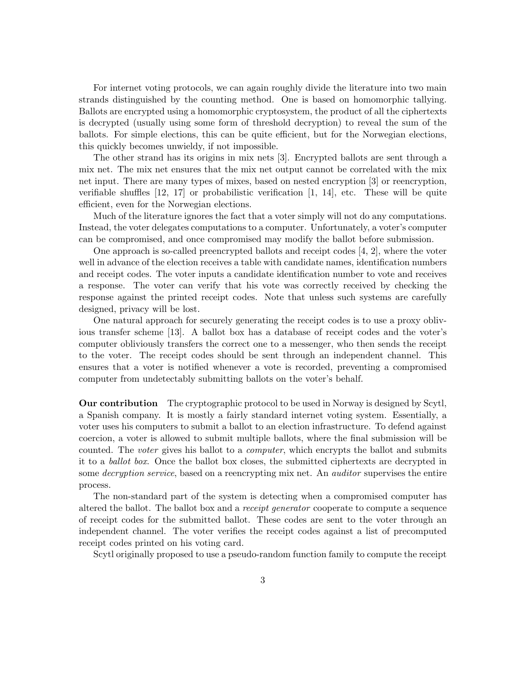For internet voting protocols, we can again roughly divide the literature into two main strands distinguished by the counting method. One is based on homomorphic tallying. Ballots are encrypted using a homomorphic cryptosystem, the product of all the ciphertexts is decrypted (usually using some form of threshold decryption) to reveal the sum of the ballots. For simple elections, this can be quite efficient, but for the Norwegian elections, this quickly becomes unwieldy, if not impossible.

The other strand has its origins in mix nets [3]. Encrypted ballots are sent through a mix net. The mix net ensures that the mix net output cannot be correlated with the mix net input. There are many types of mixes, based on nested encryption [3] or reencryption, verifiable shuffles [12, 17] or probabilistic verification [1, 14], etc. These will be quite efficient, even for the Norwegian elections.

Much of the literature ignores the fact that a voter simply will not do any computations. Instead, the voter delegates computations to a computer. Unfortunately, a voter's computer can be compromised, and once compromised may modify the ballot before submission.

One approach is so-called preencrypted ballots and receipt codes [4, 2], where the voter well in advance of the election receives a table with candidate names, identification numbers and receipt codes. The voter inputs a candidate identification number to vote and receives a response. The voter can verify that his vote was correctly received by checking the response against the printed receipt codes. Note that unless such systems are carefully designed, privacy will be lost.

One natural approach for securely generating the receipt codes is to use a proxy oblivious transfer scheme [13]. A ballot box has a database of receipt codes and the voter's computer obliviously transfers the correct one to a messenger, who then sends the receipt to the voter. The receipt codes should be sent through an independent channel. This ensures that a voter is notified whenever a vote is recorded, preventing a compromised computer from undetectably submitting ballots on the voter's behalf.

Our contribution The cryptographic protocol to be used in Norway is designed by Scytl, a Spanish company. It is mostly a fairly standard internet voting system. Essentially, a voter uses his computers to submit a ballot to an election infrastructure. To defend against coercion, a voter is allowed to submit multiple ballots, where the final submission will be counted. The voter gives his ballot to a computer, which encrypts the ballot and submits it to a ballot box. Once the ballot box closes, the submitted ciphertexts are decrypted in some *decryption service*, based on a reencrypting mix net. An *auditor* supervises the entire process.

The non-standard part of the system is detecting when a compromised computer has altered the ballot. The ballot box and a receipt generator cooperate to compute a sequence of receipt codes for the submitted ballot. These codes are sent to the voter through an independent channel. The voter verifies the receipt codes against a list of precomputed receipt codes printed on his voting card.

Scytl originally proposed to use a pseudo-random function family to compute the receipt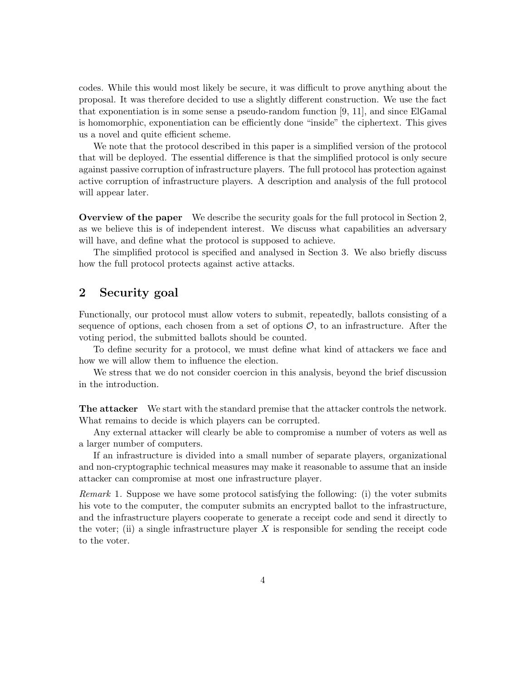codes. While this would most likely be secure, it was difficult to prove anything about the proposal. It was therefore decided to use a slightly different construction. We use the fact that exponentiation is in some sense a pseudo-random function [9, 11], and since ElGamal is homomorphic, exponentiation can be efficiently done "inside" the ciphertext. This gives us a novel and quite efficient scheme.

We note that the protocol described in this paper is a simplified version of the protocol that will be deployed. The essential difference is that the simplified protocol is only secure against passive corruption of infrastructure players. The full protocol has protection against active corruption of infrastructure players. A description and analysis of the full protocol will appear later.

Overview of the paper We describe the security goals for the full protocol in Section 2, as we believe this is of independent interest. We discuss what capabilities an adversary will have, and define what the protocol is supposed to achieve.

The simplified protocol is specified and analysed in Section 3. We also briefly discuss how the full protocol protects against active attacks.

# 2 Security goal

Functionally, our protocol must allow voters to submit, repeatedly, ballots consisting of a sequence of options, each chosen from a set of options  $\mathcal{O}$ , to an infrastructure. After the voting period, the submitted ballots should be counted.

To define security for a protocol, we must define what kind of attackers we face and how we will allow them to influence the election.

We stress that we do not consider coercion in this analysis, beyond the brief discussion in the introduction.

The attacker We start with the standard premise that the attacker controls the network. What remains to decide is which players can be corrupted.

Any external attacker will clearly be able to compromise a number of voters as well as a larger number of computers.

If an infrastructure is divided into a small number of separate players, organizational and non-cryptographic technical measures may make it reasonable to assume that an inside attacker can compromise at most one infrastructure player.

Remark 1. Suppose we have some protocol satisfying the following: (i) the voter submits his vote to the computer, the computer submits an encrypted ballot to the infrastructure, and the infrastructure players cooperate to generate a receipt code and send it directly to the voter; (ii) a single infrastructure player  $X$  is responsible for sending the receipt code to the voter.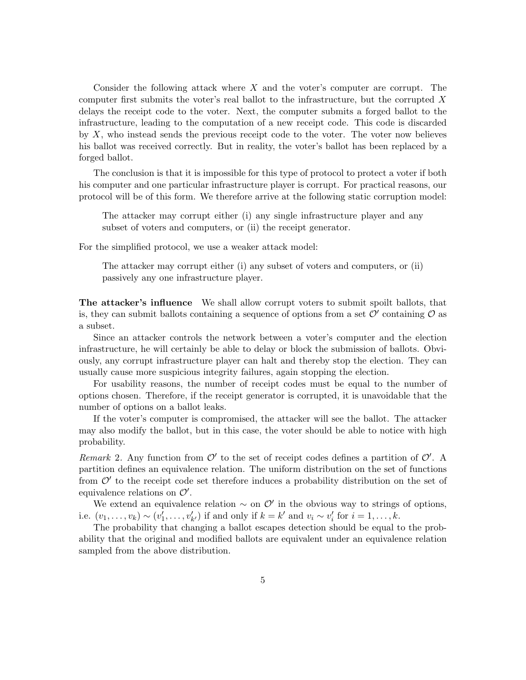Consider the following attack where X and the voter's computer are corrupt. The computer first submits the voter's real ballot to the infrastructure, but the corrupted X delays the receipt code to the voter. Next, the computer submits a forged ballot to the infrastructure, leading to the computation of a new receipt code. This code is discarded by  $X$ , who instead sends the previous receipt code to the voter. The voter now believes his ballot was received correctly. But in reality, the voter's ballot has been replaced by a forged ballot.

The conclusion is that it is impossible for this type of protocol to protect a voter if both his computer and one particular infrastructure player is corrupt. For practical reasons, our protocol will be of this form. We therefore arrive at the following static corruption model:

The attacker may corrupt either (i) any single infrastructure player and any subset of voters and computers, or (ii) the receipt generator.

For the simplified protocol, we use a weaker attack model:

The attacker may corrupt either (i) any subset of voters and computers, or (ii) passively any one infrastructure player.

The attacker's influence We shall allow corrupt voters to submit spoilt ballots, that is, they can submit ballots containing a sequence of options from a set  $\mathcal{O}'$  containing  $\mathcal O$  as a subset.

Since an attacker controls the network between a voter's computer and the election infrastructure, he will certainly be able to delay or block the submission of ballots. Obviously, any corrupt infrastructure player can halt and thereby stop the election. They can usually cause more suspicious integrity failures, again stopping the election.

For usability reasons, the number of receipt codes must be equal to the number of options chosen. Therefore, if the receipt generator is corrupted, it is unavoidable that the number of options on a ballot leaks.

If the voter's computer is compromised, the attacker will see the ballot. The attacker may also modify the ballot, but in this case, the voter should be able to notice with high probability.

Remark 2. Any function from  $\mathcal{O}'$  to the set of receipt codes defines a partition of  $\mathcal{O}'$ . A partition defines an equivalence relation. The uniform distribution on the set of functions from  $\mathcal{O}'$  to the receipt code set therefore induces a probability distribution on the set of equivalence relations on  $\mathcal{O}'$ .

We extend an equivalence relation  $\sim$  on  $\mathcal{O}'$  in the obvious way to strings of options, i.e.  $(v_1, \ldots, v_k) \sim (v'_1, \ldots, v'_{k'})$  if and only if  $k = k'$  and  $v_i \sim v'_i$  for  $i = 1, \ldots, k$ .

The probability that changing a ballot escapes detection should be equal to the probability that the original and modified ballots are equivalent under an equivalence relation sampled from the above distribution.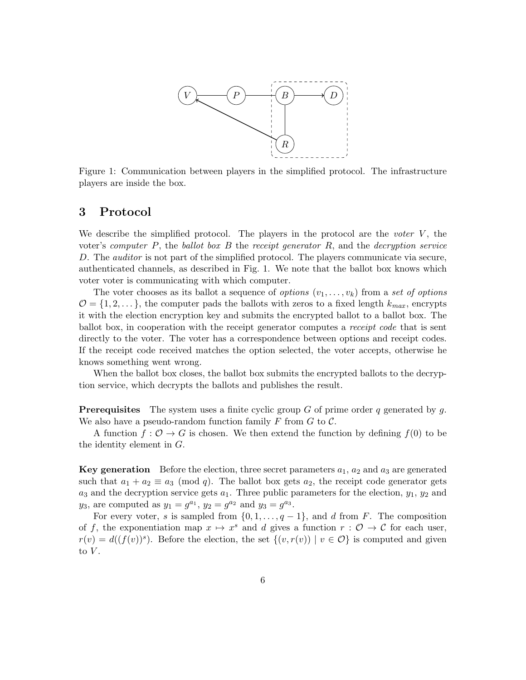

Figure 1: Communication between players in the simplified protocol. The infrastructure players are inside the box.

## 3 Protocol

We describe the simplified protocol. The players in the protocol are the *voter*  $V$ , the voter's computer  $P$ , the ballot box  $B$  the receipt generator  $R$ , and the decryption service D. The *auditor* is not part of the simplified protocol. The players communicate via secure, authenticated channels, as described in Fig. 1. We note that the ballot box knows which voter voter is communicating with which computer.

The voter chooses as its ballot a sequence of *options*  $(v_1, \ldots, v_k)$  from a set of *options*  $\mathcal{O} = \{1, 2, \ldots\}$ , the computer pads the ballots with zeros to a fixed length  $k_{max}$ , encrypts it with the election encryption key and submits the encrypted ballot to a ballot box. The ballot box, in cooperation with the receipt generator computes a receipt code that is sent directly to the voter. The voter has a correspondence between options and receipt codes. If the receipt code received matches the option selected, the voter accepts, otherwise he knows something went wrong.

When the ballot box closes, the ballot box submits the encrypted ballots to the decryption service, which decrypts the ballots and publishes the result.

**Prerequisites** The system uses a finite cyclic group G of prime order q generated by q. We also have a pseudo-random function family F from  $G$  to  $\mathcal{C}$ .

A function  $f: \mathcal{O} \to G$  is chosen. We then extend the function by defining  $f(0)$  to be the identity element in  $G$ .

**Key generation** Before the election, three secret parameters  $a_1$ ,  $a_2$  and  $a_3$  are generated such that  $a_1 + a_2 \equiv a_3 \pmod{q}$ . The ballot box gets  $a_2$ , the receipt code generator gets  $a_3$  and the decryption service gets  $a_1$ . Three public parameters for the election,  $y_1, y_2$  and  $y_3$ , are computed as  $y_1 = g^{a_1}$ ,  $y_2 = g^{a_2}$  and  $y_3 = g^{a_3}$ .

For every voter, s is sampled from  $\{0, 1, \ldots, q-1\}$ , and d from F. The composition of f, the exponentiation map  $x \mapsto x^s$  and d gives a function  $r : \mathcal{O} \to \mathcal{C}$  for each user,  $r(v) = d((f(v))^s)$ . Before the election, the set  $\{(v, r(v)) \mid v \in \mathcal{O}\}\)$  is computed and given to  $V$ .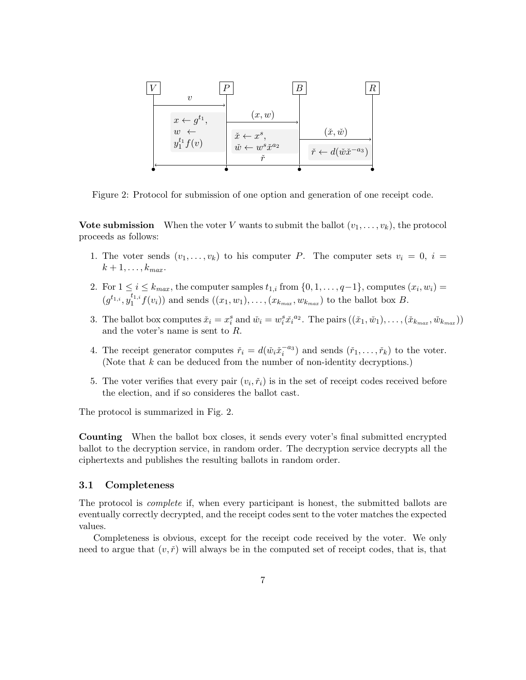

Figure 2: Protocol for submission of one option and generation of one receipt code.

**Vote submission** When the voter V wants to submit the ballot  $(v_1, \ldots, v_k)$ , the protocol proceeds as follows:

- 1. The voter sends  $(v_1, \ldots, v_k)$  to his computer P. The computer sets  $v_i = 0$ ,  $i =$  $k+1,\ldots,k_{max}$ .
- 2. For  $1 \le i \le k_{max}$ , the computer samples  $t_{1,i}$  from  $\{0,1,\ldots,q-1\}$ , computes  $(x_i,w_i)$  $(g^{t_{1,i}}, y_1^{t_{1,i}})$  $f_1^{(1,i} f(v_i))$  and sends  $((x_1, w_1), \ldots, (x_{k_{max}}, w_{k_{max}})$  to the ballot box B.
- 3. The ballot box computes  $\check{x}_i = x_i^s$  and  $\check{w}_i = w_i^s \check{x}_i^{a_2}$ . The pairs  $((\check{x}_1, \check{w}_1), \ldots, (\check{x}_{k_{max}}, \check{w}_{k_{max}}))$ and the voter's name is sent to R.
- 4. The receipt generator computes  $\tilde{r}_i = d(\tilde{w}_i \tilde{x}_i^{-a_3})$  and sends  $(\tilde{r}_1, \ldots, \tilde{r}_k)$  to the voter. (Note that  $k$  can be deduced from the number of non-identity decryptions.)
- 5. The voter verifies that every pair  $(v_i, \tilde{r}_i)$  is in the set of receipt codes received before the election, and if so consideres the ballot cast.

The protocol is summarized in Fig. 2.

Counting When the ballot box closes, it sends every voter's final submitted encrypted ballot to the decryption service, in random order. The decryption service decrypts all the ciphertexts and publishes the resulting ballots in random order.

### 3.1 Completeness

The protocol is complete if, when every participant is honest, the submitted ballots are eventually correctly decrypted, and the receipt codes sent to the voter matches the expected values.

Completeness is obvious, except for the receipt code received by the voter. We only need to argue that  $(v, \check{r})$  will always be in the computed set of receipt codes, that is, that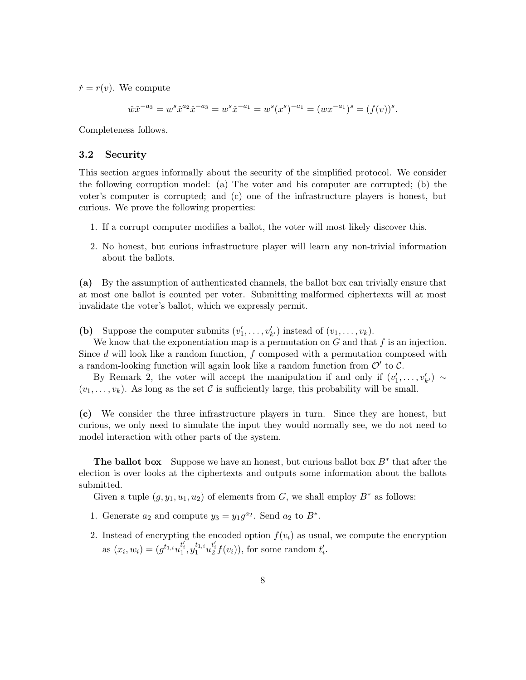$\check{r} = r(v)$ . We compute

$$
\check{w}\check{x}^{-a_3} = w^s \check{x}^{a_2} \check{x}^{-a_3} = w^s \check{x}^{-a_1} = w^s (x^s)^{-a_1} = (wx^{-a_1})^s = (f(v))^s.
$$

Completeness follows.

### 3.2 Security

This section argues informally about the security of the simplified protocol. We consider the following corruption model: (a) The voter and his computer are corrupted; (b) the voter's computer is corrupted; and (c) one of the infrastructure players is honest, but curious. We prove the following properties:

- 1. If a corrupt computer modifies a ballot, the voter will most likely discover this.
- 2. No honest, but curious infrastructure player will learn any non-trivial information about the ballots.

(a) By the assumption of authenticated channels, the ballot box can trivially ensure that at most one ballot is counted per voter. Submitting malformed ciphertexts will at most invalidate the voter's ballot, which we expressly permit.

(b) Suppose the computer submits  $(v'_1, \ldots, v'_{k'})$  instead of  $(v_1, \ldots, v_k)$ .

We know that the exponentiation map is a permutation on  $G$  and that  $f$  is an injection. Since  $d$  will look like a random function,  $f$  composed with a permutation composed with a random-looking function will again look like a random function from  $\mathcal{O}'$  to  $\mathcal{C}$ .

By Remark 2, the voter will accept the manipulation if and only if  $(v'_1, \ldots, v'_{k'}) \sim$  $(v_1, \ldots, v_k)$ . As long as the set C is sufficiently large, this probability will be small.

(c) We consider the three infrastructure players in turn. Since they are honest, but curious, we only need to simulate the input they would normally see, we do not need to model interaction with other parts of the system.

The ballot box Suppose we have an honest, but curious ballot box  $B^*$  that after the election is over looks at the ciphertexts and outputs some information about the ballots submitted.

Given a tuple  $(g, y_1, u_1, u_2)$  of elements from G, we shall employ  $B^*$  as follows:

- 1. Generate  $a_2$  and compute  $y_3 = y_1 g^{a_2}$ . Send  $a_2$  to  $B^*$ .
- 2. Instead of encrypting the encoded option  $f(v_i)$  as usual, we compute the encryption as  $(x_i, w_i) = (g^{t_{1,i}} u_1^{t'_i}, y_1^{t_{1,i}})$  $t_1^{t_1,i}u_2^{t'_i}f(v_i)$ , for some random  $t'_i$ .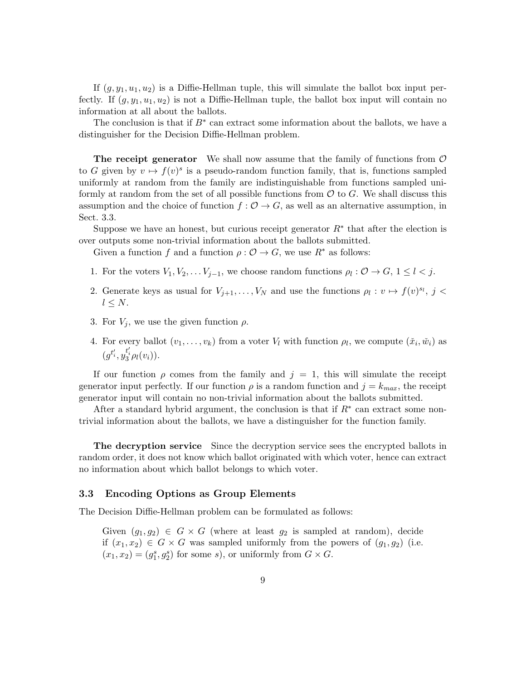If  $(g, y_1, u_1, u_2)$  is a Diffie-Hellman tuple, this will simulate the ballot box input perfectly. If  $(q, y_1, u_1, u_2)$  is not a Diffie-Hellman tuple, the ballot box input will contain no information at all about the ballots.

The conclusion is that if  $B^*$  can extract some information about the ballots, we have a distinguisher for the Decision Diffie-Hellman problem.

**The receipt generator** We shall now assume that the family of functions from  $\mathcal{O}$ to G given by  $v \mapsto f(v)^s$  is a pseudo-random function family, that is, functions sampled uniformly at random from the family are indistinguishable from functions sampled uniformly at random from the set of all possible functions from  $\mathcal O$  to  $G$ . We shall discuss this assumption and the choice of function  $f: \mathcal{O} \to G$ , as well as an alternative assumption, in Sect. 3.3.

Suppose we have an honest, but curious receipt generator  $R^*$  that after the election is over outputs some non-trivial information about the ballots submitted.

Given a function f and a function  $\rho : \mathcal{O} \to G$ , we use  $R^*$  as follows:

- 1. For the voters  $V_1, V_2, \ldots V_{j-1}$ , we choose random functions  $\rho_l : \mathcal{O} \to G$ ,  $1 \leq l < j$ .
- 2. Generate keys as usual for  $V_{j+1}, \ldots, V_N$  and use the functions  $\rho_l : v \mapsto f(v)^{s_l}, j <$  $l \leq N$ .
- 3. For  $V_j$ , we use the given function  $\rho$ .
- 4. For every ballot  $(v_1, \ldots, v_k)$  from a voter  $V_l$  with function  $\rho_l$ , we compute  $(\check{x}_i, \check{w}_i)$  as  $(g^{t'_i}, y_3^{t'_i} \rho_l(v_i)).$

If our function  $\rho$  comes from the family and  $j = 1$ , this will simulate the receipt generator input perfectly. If our function  $\rho$  is a random function and  $j = k_{max}$ , the receipt generator input will contain no non-trivial information about the ballots submitted.

After a standard hybrid argument, the conclusion is that if  $R^*$  can extract some nontrivial information about the ballots, we have a distinguisher for the function family.

The decryption service Since the decryption service sees the encrypted ballots in random order, it does not know which ballot originated with which voter, hence can extract no information about which ballot belongs to which voter.

### 3.3 Encoding Options as Group Elements

The Decision Diffie-Hellman problem can be formulated as follows:

Given  $(g_1, g_2) \in G \times G$  (where at least  $g_2$  is sampled at random), decide if  $(x_1, x_2) \in G \times G$  was sampled uniformly from the powers of  $(g_1, g_2)$  (i.e.  $(x_1, x_2) = (g_1^s, g_2^s)$  for some s), or uniformly from  $G \times G$ .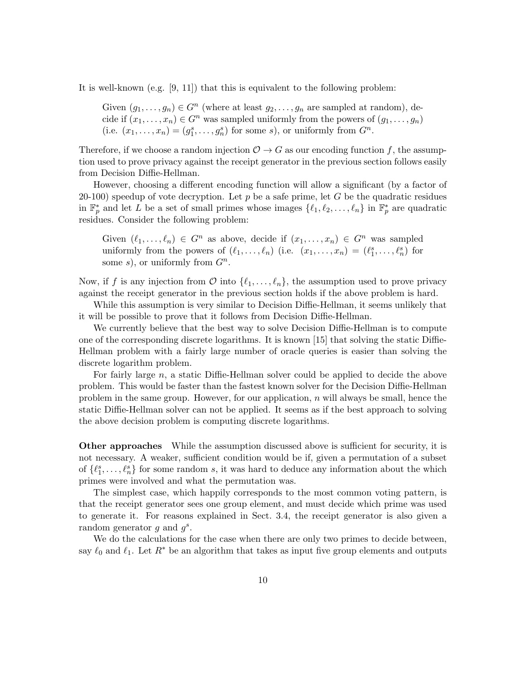It is well-known (e.g. [9, 11]) that this is equivalent to the following problem:

Given  $(g_1, \ldots, g_n) \in G^n$  (where at least  $g_2, \ldots, g_n$  are sampled at random), decide if  $(x_1, \ldots, x_n) \in G^n$  was sampled uniformly from the powers of  $(g_1, \ldots, g_n)$ (i.e.  $(x_1, \ldots, x_n) = (g_1^s, \ldots, g_n^s)$  for some s), or uniformly from  $G^n$ .

Therefore, if we choose a random injection  $\mathcal{O} \to G$  as our encoding function f, the assumption used to prove privacy against the receipt generator in the previous section follows easily from Decision Diffie-Hellman.

However, choosing a different encoding function will allow a significant (by a factor of 20-100) speedup of vote decryption. Let  $p$  be a safe prime, let  $G$  be the quadratic residues in  $\mathbb{F}_p^*$  and let L be a set of small primes whose images  $\{\ell_1, \ell_2, \ldots, \ell_n\}$  in  $\mathbb{F}_p^*$  are quadratic residues. Consider the following problem:

Given  $(\ell_1, \ldots, \ell_n) \in G^n$  as above, decide if  $(x_1, \ldots, x_n) \in G^n$  was sampled uniformly from the powers of  $(\ell_1, \ldots, \ell_n)$  (i.e.  $(x_1, \ldots, x_n) = (\ell_1^s, \ldots, \ell_n^s)$  for some s), or uniformly from  $G<sup>n</sup>$ .

Now, if f is any injection from  $\mathcal O$  into  $\{\ell_1, \ldots, \ell_n\}$ , the assumption used to prove privacy against the receipt generator in the previous section holds if the above problem is hard.

While this assumption is very similar to Decision Diffie-Hellman, it seems unlikely that it will be possible to prove that it follows from Decision Diffie-Hellman.

We currently believe that the best way to solve Decision Diffie-Hellman is to compute one of the corresponding discrete logarithms. It is known [15] that solving the static Diffie-Hellman problem with a fairly large number of oracle queries is easier than solving the discrete logarithm problem.

For fairly large n, a static Diffie-Hellman solver could be applied to decide the above problem. This would be faster than the fastest known solver for the Decision Diffie-Hellman problem in the same group. However, for our application,  $n$  will always be small, hence the static Diffie-Hellman solver can not be applied. It seems as if the best approach to solving the above decision problem is computing discrete logarithms.

Other approaches While the assumption discussed above is sufficient for security, it is not necessary. A weaker, sufficient condition would be if, given a permutation of a subset of  $\{\ell_1^s, \ldots, \ell_n^s\}$  for some random s, it was hard to deduce any information about the which primes were involved and what the permutation was.

The simplest case, which happily corresponds to the most common voting pattern, is that the receipt generator sees one group element, and must decide which prime was used to generate it. For reasons explained in Sect. 3.4, the receipt generator is also given a random generator  $g$  and  $g^s$ .

We do the calculations for the case when there are only two primes to decide between, say  $\ell_0$  and  $\ell_1$ . Let  $R^*$  be an algorithm that takes as input five group elements and outputs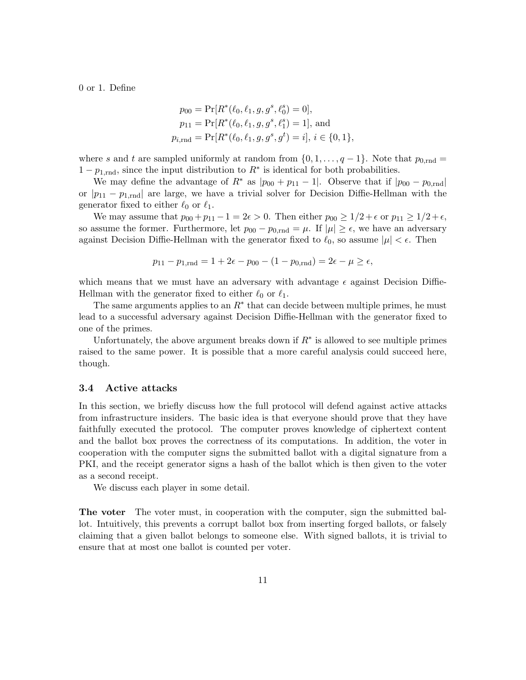0 or 1. Define

$$
p_{00} = \Pr[R^*(\ell_0, \ell_1, g, g^s, \ell_0^s) = 0],
$$
  
\n
$$
p_{11} = \Pr[R^*(\ell_0, \ell_1, g, g^s, \ell_1^s) = 1],
$$
 and  
\n
$$
p_{i, \text{rnd}} = \Pr[R^*(\ell_0, \ell_1, g, g^s, g^t) = i], i \in \{0, 1\},
$$

where s and t are sampled uniformly at random from  $\{0, 1, \ldots, q-1\}$ . Note that  $p_{0, \text{rnd}} =$  $1 - p_{1, \text{rnd}}$ , since the input distribution to  $R^*$  is identical for both probabilities.

We may define the advantage of  $R^*$  as  $|p_{00} + p_{11} - 1|$ . Observe that if  $|p_{00} - p_{0,\text{rnd}}|$ or  $|p_{11} - p_{1,\text{rnd}}|$  are large, we have a trivial solver for Decision Diffie-Hellman with the generator fixed to either  $\ell_0$  or  $\ell_1$ .

We may assume that  $p_{00} + p_{11} - 1 = 2\epsilon > 0$ . Then either  $p_{00} \ge 1/2 + \epsilon$  or  $p_{11} \ge 1/2 + \epsilon$ , so assume the former. Furthermore, let  $p_{00} - p_{0,\text{rnd}} = \mu$ . If  $|\mu| \geq \epsilon$ , we have an adversary against Decision Diffie-Hellman with the generator fixed to  $\ell_0$ , so assume  $|\mu| < \epsilon$ . Then

$$
p_{11} - p_{1,\text{rnd}} = 1 + 2\epsilon - p_{00} - (1 - p_{0,\text{rnd}}) = 2\epsilon - \mu \ge \epsilon,
$$

which means that we must have an adversary with advantage  $\epsilon$  against Decision Diffie-Hellman with the generator fixed to either  $\ell_0$  or  $\ell_1$ .

The same arguments applies to an  $R^*$  that can decide between multiple primes, he must lead to a successful adversary against Decision Diffie-Hellman with the generator fixed to one of the primes.

Unfortunately, the above argument breaks down if  $R^*$  is allowed to see multiple primes raised to the same power. It is possible that a more careful analysis could succeed here, though.

### 3.4 Active attacks

In this section, we briefly discuss how the full protocol will defend against active attacks from infrastructure insiders. The basic idea is that everyone should prove that they have faithfully executed the protocol. The computer proves knowledge of ciphertext content and the ballot box proves the correctness of its computations. In addition, the voter in cooperation with the computer signs the submitted ballot with a digital signature from a PKI, and the receipt generator signs a hash of the ballot which is then given to the voter as a second receipt.

We discuss each player in some detail.

The voter The voter must, in cooperation with the computer, sign the submitted ballot. Intuitively, this prevents a corrupt ballot box from inserting forged ballots, or falsely claiming that a given ballot belongs to someone else. With signed ballots, it is trivial to ensure that at most one ballot is counted per voter.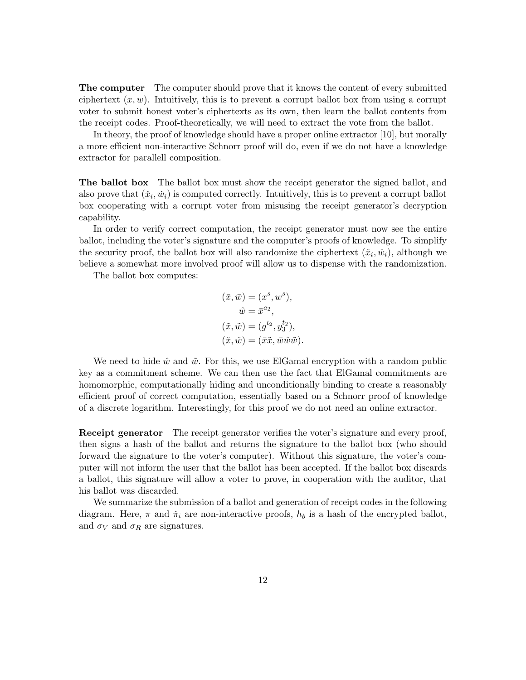The computer The computer should prove that it knows the content of every submitted ciphertext  $(x, w)$ . Intuitively, this is to prevent a corrupt ballot box from using a corrupt voter to submit honest voter's ciphertexts as its own, then learn the ballot contents from the receipt codes. Proof-theoretically, we will need to extract the vote from the ballot.

In theory, the proof of knowledge should have a proper online extractor [10], but morally a more efficient non-interactive Schnorr proof will do, even if we do not have a knowledge extractor for parallell composition.

The ballot box The ballot box must show the receipt generator the signed ballot, and also prove that  $(\check{x}_i, \check{w}_i)$  is computed correctly. Intuitively, this is to prevent a corrupt ballot box cooperating with a corrupt voter from misusing the receipt generator's decryption capability.

In order to verify correct computation, the receipt generator must now see the entire ballot, including the voter's signature and the computer's proofs of knowledge. To simplify the security proof, the ballot box will also randomize the ciphertext  $(\check{x}_i, \check{w}_i)$ , although we believe a somewhat more involved proof will allow us to dispense with the randomization.

The ballot box computes:

$$
(\bar{x}, \bar{w}) = (x^s, w^s),
$$
  
\n
$$
\hat{w} = \bar{x}^{a_2},
$$
  
\n
$$
(\tilde{x}, \tilde{w}) = (g^{t_2}, y_3^{t_2}),
$$
  
\n
$$
(\tilde{x}, \tilde{w}) = (\bar{x}\tilde{x}, \bar{w}\tilde{w}\tilde{w}).
$$

We need to hide  $\hat{w}$  and  $\tilde{w}$ . For this, we use ElGamal encryption with a random public key as a commitment scheme. We can then use the fact that ElGamal commitments are homomorphic, computationally hiding and unconditionally binding to create a reasonably efficient proof of correct computation, essentially based on a Schnorr proof of knowledge of a discrete logarithm. Interestingly, for this proof we do not need an online extractor.

**Receipt generator** The receipt generator verifies the voter's signature and every proof, then signs a hash of the ballot and returns the signature to the ballot box (who should forward the signature to the voter's computer). Without this signature, the voter's computer will not inform the user that the ballot has been accepted. If the ballot box discards a ballot, this signature will allow a voter to prove, in cooperation with the auditor, that his ballot was discarded.

We summarize the submission of a ballot and generation of receipt codes in the following diagram. Here,  $\pi$  and  $\check{\pi}_i$  are non-interactive proofs,  $h_b$  is a hash of the encrypted ballot, and  $\sigma_V$  and  $\sigma_R$  are signatures.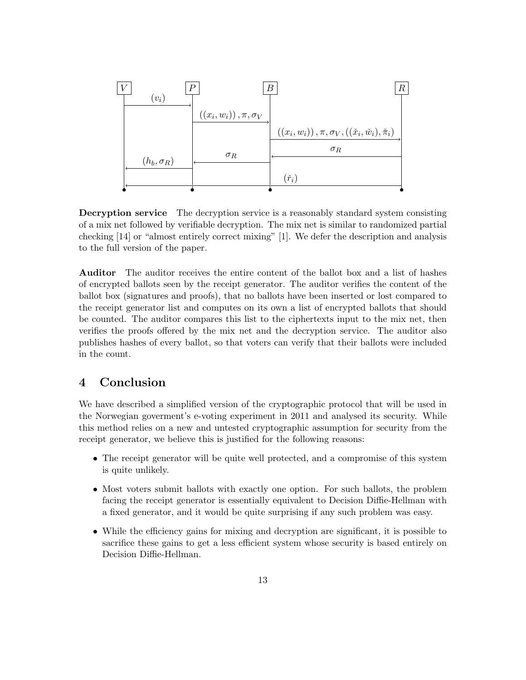

Decryption service The decryption service is a reasonably standard system consisting of a mix net followed by verifiable decryption. The mix net is similar to randomized partial checking [14] or "almost entirely correct mixing" [1]. We defer the description and analysis to the full version of the paper.

Auditor The auditor receives the entire content of the ballot box and a list of hashes of encrypted ballots seen by the receipt generator. The auditor verifies the content of the ballot box (signatures and proofs), that no ballots have been inserted or lost compared to the receipt generator list and computes on its own a list of encrypted ballots that should be counted. The auditor compares this list to the ciphertexts input to the mix net, then verifies the proofs offered by the mix net and the decryption service. The auditor also publishes hashes of every ballot, so that voters can verify that their ballots were included in the count.

# 4 Conclusion

We have described a simplified version of the cryptographic protocol that will be used in the Norwegian goverment's e-voting experiment in 2011 and analysed its security. While this method relies on a new and untested cryptographic assumption for security from the receipt generator, we believe this is justified for the following reasons:

- The receipt generator will be quite well protected, and a compromise of this system is quite unlikely.
- Most voters submit ballots with exactly one option. For such ballots, the problem facing the receipt generator is essentially equivalent to Decision Diffie-Hellman with a fixed generator, and it would be quite surprising if any such problem was easy.
- While the efficiency gains for mixing and decryption are significant, it is possible to sacrifice these gains to get a less efficient system whose security is based entirely on Decision Diffie-Hellman.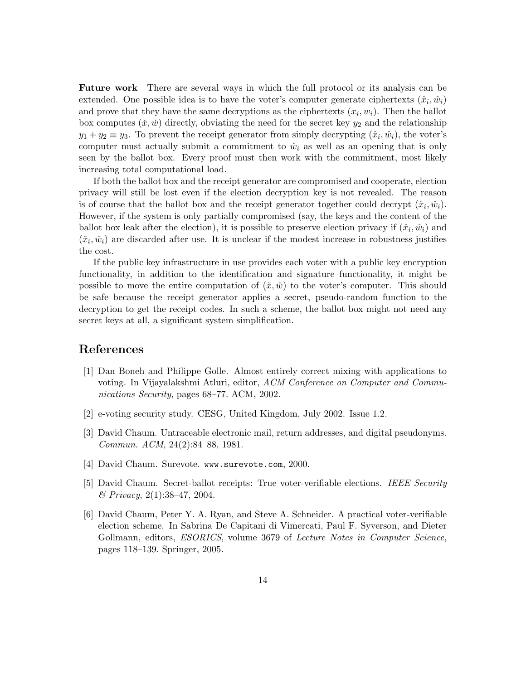Future work There are several ways in which the full protocol or its analysis can be extended. One possible idea is to have the voter's computer generate ciphertexts  $(\hat{x}_i, \hat{w}_i)$ and prove that they have the same decryptions as the ciphertexts  $(x_i, w_i)$ . Then the ballot box computes  $(\check{x}, \check{w})$  directly, obviating the need for the secret key  $y_2$  and the relationship  $y_1 + y_2 \equiv y_3$ . To prevent the receipt generator from simply decrypting  $(\hat{x}_i, \hat{w}_i)$ , the voter's computer must actually submit a commitment to  $\hat{w}_i$  as well as an opening that is only seen by the ballot box. Every proof must then work with the commitment, most likely increasing total computational load.

If both the ballot box and the receipt generator are compromised and cooperate, election privacy will still be lost even if the election decryption key is not revealed. The reason is of course that the ballot box and the receipt generator together could decrypt  $(\hat{x}_i, \hat{w}_i)$ . However, if the system is only partially compromised (say, the keys and the content of the ballot box leak after the election), it is possible to preserve election privacy if  $(\hat{x}_i, \hat{w}_i)$  and  $(\check{x}_i, \check{w}_i)$  are discarded after use. It is unclear if the modest increase in robustness justifies the cost.

If the public key infrastructure in use provides each voter with a public key encryption functionality, in addition to the identification and signature functionality, it might be possible to move the entire computation of  $(\check{x}, \check{w})$  to the voter's computer. This should be safe because the receipt generator applies a secret, pseudo-random function to the decryption to get the receipt codes. In such a scheme, the ballot box might not need any secret keys at all, a significant system simplification.

## References

- [1] Dan Boneh and Philippe Golle. Almost entirely correct mixing with applications to voting. In Vijayalakshmi Atluri, editor, ACM Conference on Computer and Communications Security, pages 68–77. ACM, 2002.
- [2] e-voting security study. CESG, United Kingdom, July 2002. Issue 1.2.
- [3] David Chaum. Untraceable electronic mail, return addresses, and digital pseudonyms. Commun. ACM, 24(2):84–88, 1981.
- [4] David Chaum. Surevote. www.surevote.com, 2000.
- [5] David Chaum. Secret-ballot receipts: True voter-verifiable elections. IEEE Security & Privacy, 2(1):38–47, 2004.
- [6] David Chaum, Peter Y. A. Ryan, and Steve A. Schneider. A practical voter-verifiable election scheme. In Sabrina De Capitani di Vimercati, Paul F. Syverson, and Dieter Gollmann, editors, ESORICS, volume 3679 of Lecture Notes in Computer Science, pages 118–139. Springer, 2005.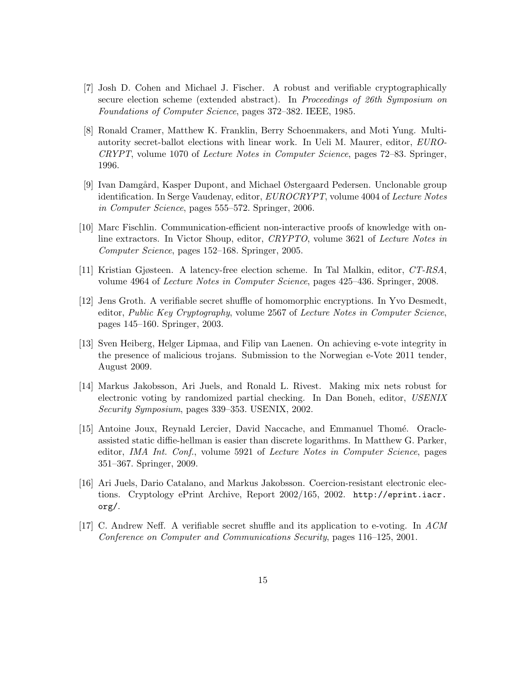- [7] Josh D. Cohen and Michael J. Fischer. A robust and verifiable cryptographically secure election scheme (extended abstract). In Proceedings of 26th Symposium on Foundations of Computer Science, pages 372–382. IEEE, 1985.
- [8] Ronald Cramer, Matthew K. Franklin, Berry Schoenmakers, and Moti Yung. Multiautority secret-ballot elections with linear work. In Ueli M. Maurer, editor, EURO-CRYPT, volume 1070 of Lecture Notes in Computer Science, pages 72–83. Springer, 1996.
- [9] Ivan Damg˚ard, Kasper Dupont, and Michael Østergaard Pedersen. Unclonable group identification. In Serge Vaudenay, editor, EUROCRYPT, volume 4004 of Lecture Notes in Computer Science, pages 555–572. Springer, 2006.
- [10] Marc Fischlin. Communication-efficient non-interactive proofs of knowledge with online extractors. In Victor Shoup, editor, CRYPTO, volume 3621 of Lecture Notes in Computer Science, pages 152–168. Springer, 2005.
- [11] Kristian Gjøsteen. A latency-free election scheme. In Tal Malkin, editor, CT-RSA, volume 4964 of Lecture Notes in Computer Science, pages 425–436. Springer, 2008.
- [12] Jens Groth. A verifiable secret shuffle of homomorphic encryptions. In Yvo Desmedt, editor, Public Key Cryptography, volume 2567 of Lecture Notes in Computer Science, pages 145–160. Springer, 2003.
- [13] Sven Heiberg, Helger Lipmaa, and Filip van Laenen. On achieving e-vote integrity in the presence of malicious trojans. Submission to the Norwegian e-Vote 2011 tender, August 2009.
- [14] Markus Jakobsson, Ari Juels, and Ronald L. Rivest. Making mix nets robust for electronic voting by randomized partial checking. In Dan Boneh, editor, USENIX Security Symposium, pages 339–353. USENIX, 2002.
- [15] Antoine Joux, Reynald Lercier, David Naccache, and Emmanuel Thomé. Oracleassisted static diffie-hellman is easier than discrete logarithms. In Matthew G. Parker, editor, IMA Int. Conf., volume 5921 of Lecture Notes in Computer Science, pages 351–367. Springer, 2009.
- [16] Ari Juels, Dario Catalano, and Markus Jakobsson. Coercion-resistant electronic elections. Cryptology ePrint Archive, Report 2002/165, 2002. http://eprint.iacr. org/.
- [17] C. Andrew Neff. A verifiable secret shuffle and its application to e-voting. In ACM Conference on Computer and Communications Security, pages 116–125, 2001.